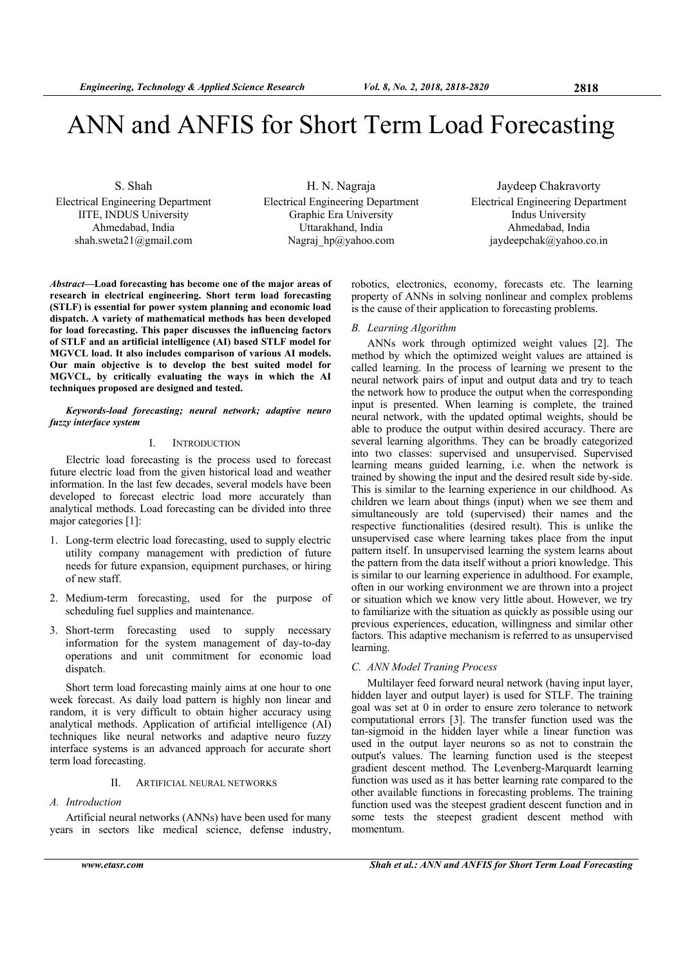# ANN and ANFIS for Short Term Load Forecasting

S. Shah

Electrical Engineering Department IITE, INDUS University Ahmedabad, India shah.sweta21@gmail.com

H. N. Nagraja Electrical Engineering Department Graphic Era University Uttarakhand, India Nagraj hp@yahoo.com

Jaydeep Chakravorty Electrical Engineering Department Indus University Ahmedabad, India jaydeepchak@yahoo.co.in

*Abstract***—Load forecasting has become one of the major areas of research in electrical engineering. Short term load forecasting (STLF) is essential for power system planning and economic load dispatch. A variety of mathematical methods has been developed for load forecasting. This paper discusses the influencing factors of STLF and an artificial intelligence (AI) based STLF model for MGVCL load. It also includes comparison of various AI models. Our main objective is to develop the best suited model for MGVCL, by critically evaluating the ways in which the AI techniques proposed are designed and tested.**

#### *Keywords-load forecasting; neural network; adaptive neuro fuzzy interface system*

### I. INTRODUCTION

Electric load forecasting is the process used to forecast future electric load from the given historical load and weather information. In the last few decades, several models have been developed to forecast electric load more accurately than analytical methods. Load forecasting can be divided into three major categories [1]:

- 1. Long-term electric load forecasting, used to supply electric utility company management with prediction of future needs for future expansion, equipment purchases, or hiring of new staff.
- 2. Medium-term forecasting, used for the purpose of scheduling fuel supplies and maintenance.
- 3. Short-term forecasting used to supply necessary information for the system management of day-to-day operations and unit commitment for economic load dispatch.

Short term load forecasting mainly aims at one hour to one week forecast. As daily load pattern is highly non linear and random, it is very difficult to obtain higher accuracy using analytical methods. Application of artificial intelligence (AI) techniques like neural networks and adaptive neuro fuzzy interface systems is an advanced approach for accurate short term load forecasting.

# II. ARTIFICIAL NEURAL NETWORKS

*A. Introduction* 

Artificial neural networks (ANNs) have been used for many years in sectors like medical science, defense industry, robotics, electronics, economy, forecasts etc. The learning property of ANNs in solving nonlinear and complex problems is the cause of their application to forecasting problems.

#### *B. Learning Algorithm*

ANNs work through optimized weight values [2]. The method by which the optimized weight values are attained is called learning. In the process of learning we present to the neural network pairs of input and output data and try to teach the network how to produce the output when the corresponding input is presented. When learning is complete, the trained neural network, with the updated optimal weights, should be able to produce the output within desired accuracy. There are several learning algorithms. They can be broadly categorized into two classes: supervised and unsupervised. Supervised learning means guided learning, i.e. when the network is trained by showing the input and the desired result side by-side. This is similar to the learning experience in our childhood. As children we learn about things (input) when we see them and simultaneously are told (supervised) their names and the respective functionalities (desired result). This is unlike the unsupervised case where learning takes place from the input pattern itself. In unsupervised learning the system learns about the pattern from the data itself without a priori knowledge. This is similar to our learning experience in adulthood. For example, often in our working environment we are thrown into a project or situation which we know very little about. However, we try to familiarize with the situation as quickly as possible using our previous experiences, education, willingness and similar other factors. This adaptive mechanism is referred to as unsupervised learning.

#### *C. ANN Model Traning Process*

Multilayer feed forward neural network (having input layer, hidden layer and output layer) is used for STLF. The training goal was set at 0 in order to ensure zero tolerance to network computational errors [3]. The transfer function used was the tan-sigmoid in the hidden layer while a linear function was used in the output layer neurons so as not to constrain the output's values. The learning function used is the steepest gradient descent method. The Levenberg-Marquardt learning function was used as it has better learning rate compared to the other available functions in forecasting problems. The training function used was the steepest gradient descent function and in some tests the steepest gradient descent method with momentum.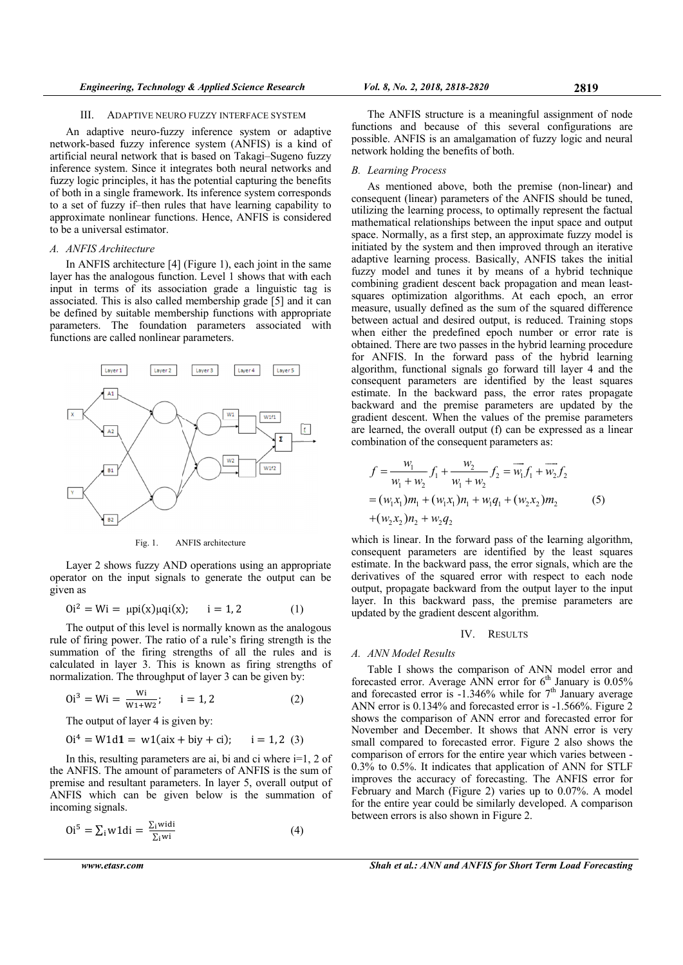#### $III$ ADAPTIVE NEURO FUZZY INTERFACE SYSTEM

An adaptive neuro-fuzzy inference system or adaptive network-based fuzzy inference system (ANFIS) is a kind of artificial neural network that is based on Takagi-Sugeno fuzzy inference system. Since it integrates both neural networks and fuzzy logic principles, it has the potential capturing the benefits of both in a single framework. Its inference system corresponds to a set of fuzzy if-then rules that have learning capability to approximate nonlinear functions. Hence, ANFIS is considered to be a universal estimator.

#### A. ANFIS Architecture

In ANFIS architecture  $[4]$  (Figure 1), each joint in the same layer has the analogous function. Level 1 shows that with each input in terms of its association grade a linguistic tag is associated. This is also called membership grade [5] and it can be defined by suitable membership functions with appropriate parameters. The foundation parameters associated with functions are called nonlinear parameters.



Fig. 1 ANFIS architecture

Layer 2 shows fuzzy AND operations using an appropriate operator on the input signals to generate the output can be given as

$$
0i^2 = Wi = \mu \text{pi}(x)\mu \text{q}i(x); \quad i = 1, 2 \tag{1}
$$

The output of this level is normally known as the analogous rule of firing power. The ratio of a rule's firing strength is the summation of the firing strengths of all the rules and is calculated in layer 3. This is known as firing strengths of normalization. The throughput of layer 3 can be given by:

$$
0i3 = Wi = \frac{Wi}{W_1 + W_2}; \qquad i = 1, 2
$$
 (2)

The output of layer 4 is given by:

$$
0i4 = W1d1 = w1(aix + biy + ci); \quad i = 1, 2 (3)
$$

In this, resulting parameters are ai, bi and ci where  $i=1$ , 2 of the ANFIS. The amount of parameters of ANFIS is the sum of premise and resultant parameters. In layer 5, overall output of ANFIS which can be given below is the summation of incoming signals.

$$
0i5 = \sum_{i} w1di = \frac{\sum_{i} widi}{\sum_{i} wi}
$$
 (4)

www.etasr.com

The ANFIS structure is a meaningful assignment of node functions and because of this several configurations are possible. ANFIS is an amalgamation of fuzzy logic and neural network holding the benefits of both.

# **B.** Learning Process

As mentioned above, both the premise (non-linear) and consequent (linear) parameters of the ANFIS should be tuned. utilizing the learning process, to optimally represent the factual mathematical relationships between the input space and output space. Normally, as a first step, an approximate fuzzy model is initiated by the system and then improved through an iterative adaptive learning process. Basically, ANFIS takes the initial fuzzy model and tunes it by means of a hybrid technique combining gradient descent back propagation and mean leastsquares optimization algorithms. At each epoch, an error measure, usually defined as the sum of the squared difference between actual and desired output, is reduced. Training stops when either the predefined epoch number or error rate is obtained. There are two passes in the hybrid learning procedure for ANFIS. In the forward pass of the hybrid learning algorithm, functional signals go forward till layer 4 and the consequent parameters are identified by the least squares estimate. In the backward pass, the error rates propagate backward and the premise parameters are updated by the gradient descent. When the values of the premise parameters are learned, the overall output (f) can be expressed as a linear combination of the consequent parameters as:

$$
f = \frac{w_1}{w_1 + w_2} f_1 + \frac{w_2}{w_1 + w_2} f_2 = \overline{w_1} f_1 + \overline{w_2} f_2
$$
  
=  $(w_1 x_1) m_1 + (w_1 x_1) n_1 + w_1 q_1 + (w_2 x_2) m_2$  (5)  
+ $(w_2 x_2) n_2 + w_2 q_2$ 

which is linear. In the forward pass of the learning algorithm, consequent parameters are identified by the least squares estimate. In the backward pass, the error signals, which are the derivatives of the squared error with respect to each node output, propagate backward from the output layer to the input layer. In this backward pass, the premise parameters are updated by the gradient descent algorithm.

#### IV. RESULTS

#### A. ANN Model Results

Table I shows the comparison of ANN model error and forecasted error. Average ANN error for  $6^{\text{th}}$  January is 0.05%<br>and forecasted error is -1.346% while for  $7^{\text{th}}$  January average ANN error is 0.134% and forecasted error is -1.566%. Figure 2 shows the comparison of ANN error and forecasted error for November and December. It shows that ANN error is very small compared to forecasted error. Figure 2 also shows the comparison of errors for the entire year which varies between -0.3% to 0.5%. It indicates that application of ANN for STLF improves the accuracy of forecasting. The ANFIS error for February and March (Figure 2) varies up to 0.07%. A model for the entire year could be similarly developed. A comparison between errors is also shown in Figure 2.

**Shah et al.: ANN and ANFIS for Short Term Load Forecasting**